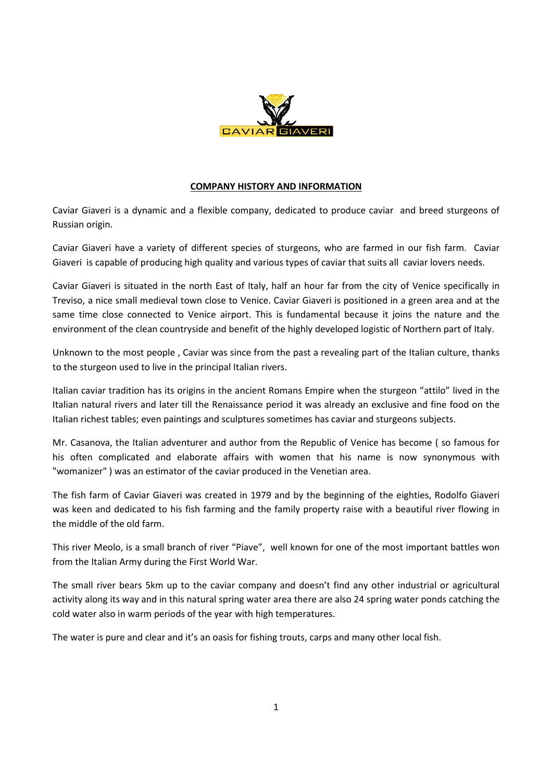

## **COMPANY HISTORY AND INFORMATION**

Caviar Giaveri is a dynamic and a flexible company, dedicated to produce caviar and breed sturgeons of Russian origin.

Caviar Giaveri have a variety of different species of sturgeons, who are farmed in our fish farm. Caviar Giaveri is capable of producing high quality and various types of caviar that suits all caviar lovers needs.

Caviar Giaveri is situated in the north East of Italy, half an hour far from the city of Venice specifically in Treviso, a nice small medieval town close to Venice. Caviar Giaveri is positioned in a green area and at the same time close connected to Venice airport. This is fundamental because it joins the nature and the environment of the clean countryside and benefit of the highly developed logistic of Northern part of Italy.

Unknown to the most people , Caviar was since from the past a revealing part of the Italian culture, thanks to the sturgeon used to live in the principal Italian rivers.

Italian caviar tradition has its origins in the ancient Romans Empire when the sturgeon "attilo" lived in the Italian natural rivers and later till the Renaissance period it was already an exclusive and fine food on the Italian richest tables; even paintings and sculptures sometimes has caviar and sturgeons subjects.

Mr. Casanova, the Italian adventurer and author from the Republic of Venice has become ( so famous for his often complicated and elaborate affairs with women that his name is now synonymous with "womanizer" ) was an estimator of the caviar produced in the Venetian area.

The fish farm of Caviar Giaveri was created in 1979 and by the beginning of the eighties, Rodolfo Giaveri was keen and dedicated to his fish farming and the family property raise with a beautiful river flowing in the middle of the old farm.

This river Meolo, is a small branch of river "Piave", well known for one of the most important battles won from the Italian Army during the First World War.

The small river bears 5km up to the caviar company and doesn't find any other industrial or agricultural activity along its way and in this natural spring water area there are also 24 spring water ponds catching the cold water also in warm periods of the year with high temperatures.

The water is pure and clear and it's an oasis for fishing trouts, carps and many other local fish.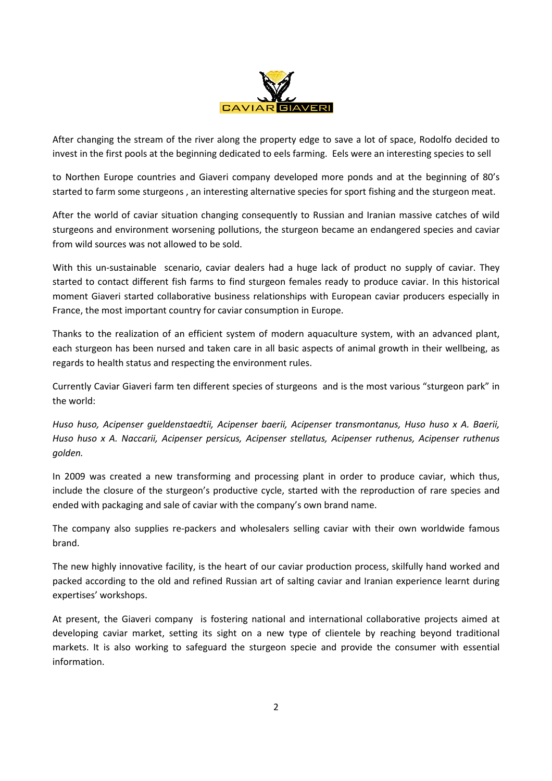

After changing the stream of the river along the property edge to save a lot of space, Rodolfo decided to invest in the first pools at the beginning dedicated to eels farming. Eels were an interesting species to sell

to Northen Europe countries and Giaveri company developed more ponds and at the beginning of 80's started to farm some sturgeons , an interesting alternative species for sport fishing and the sturgeon meat.

After the world of caviar situation changing consequently to Russian and Iranian massive catches of wild sturgeons and environment worsening pollutions, the sturgeon became an endangered species and caviar from wild sources was not allowed to be sold.

With this un-sustainable scenario, caviar dealers had a huge lack of product no supply of caviar. They started to contact different fish farms to find sturgeon females ready to produce caviar. In this historical moment Giaveri started collaborative business relationships with European caviar producers especially in France, the most important country for caviar consumption in Europe.

Thanks to the realization of an efficient system of modern aquaculture system, with an advanced plant, each sturgeon has been nursed and taken care in all basic aspects of animal growth in their wellbeing, as regards to health status and respecting the environment rules.

Currently Caviar Giaveri farm ten different species of sturgeons and is the most various "sturgeon park" in the world:

*Huso huso, Acipenser gueldenstaedtii, Acipenser baerii, Acipenser transmontanus, Huso huso x A. Baerii, Huso huso x A. Naccarii, Acipenser persicus, Acipenser stellatus, Acipenser ruthenus, Acipenser ruthenus golden.* 

In 2009 was created a new transforming and processing plant in order to produce caviar, which thus, include the closure of the sturgeon's productive cycle, started with the reproduction of rare species and ended with packaging and sale of caviar with the company's own brand name.

The company also supplies re-packers and wholesalers selling caviar with their own worldwide famous brand.

The new highly innovative facility, is the heart of our caviar production process, skilfully hand worked and packed according to the old and refined Russian art of salting caviar and Iranian experience learnt during expertises' workshops.

At present, the Giaveri company is fostering national and international collaborative projects aimed at developing caviar market, setting its sight on a new type of clientele by reaching beyond traditional markets. It is also working to safeguard the sturgeon specie and provide the consumer with essential information.